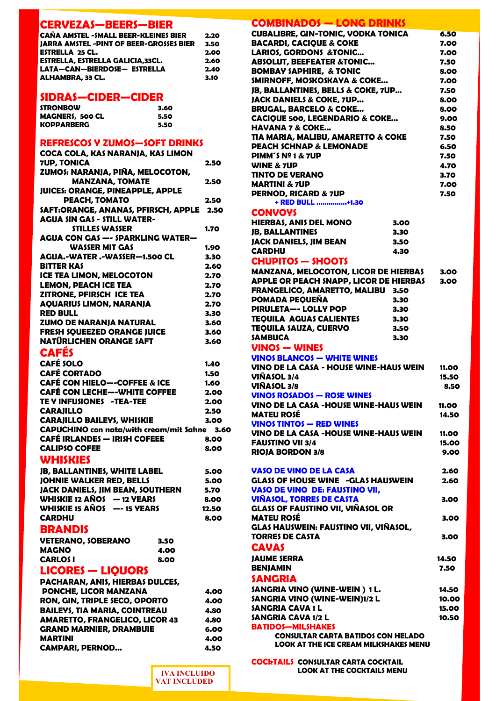#### **CERVEZAS—BEERS—BIER**

| <b>CAÑA AMSTEL - SMALL BEER-KLEINES BIER</b>   | 2.20 |
|------------------------------------------------|------|
| <b>JARRA AMSTEL -PINT OF BEER-GROSSES BIER</b> | 3.50 |
| <b>ESTRELLA 25 CL.</b>                         | 2.00 |
| ESTRELLA, ESTRELLA GALICIA, 33CL.              | 2.60 |
| LATA-CAN-BIERDOSE- ESTRELLA                    | 2.40 |
| ALHAMBRA, 33 CL.                               | 3.10 |

#### **SIDRAS—CIDER—CIDER**

| <b>STRONBOW</b>        | 3.60 |
|------------------------|------|
| <b>MAGNERS, 500 CL</b> | 5.50 |
| <b>KOPPARBERG</b>      | 5.50 |

#### **REFRESCOS Y ZUMOS—SOFT DRINKS**

| COCA COLA, KAS NARANJA, KAS LIMON        |      |
|------------------------------------------|------|
| 7UP. TONICA                              | 2.50 |
| ZUMOS: NARANJA, PIÑA, MELOCOTON,         |      |
| <b>MANZANA, TOMATE</b>                   | 2.50 |
| <b>JUICES: ORANGE, PINEAPPLE, APPLE</b>  |      |
| PEACH, TOMATO                            | 2.50 |
| SAFT:ORANGE, ANANAS, PFIRSCH, APPLE 2.50 |      |
| <b>AGUA SIN GAS - STILL WATER-</b>       |      |
| <b>STILLES WASSER</b>                    | 1.70 |
| <b>AGUA CON GAS -- SPARKLING WATER-</b>  |      |
| <b>WASSER MIT GAS</b>                    | 1.90 |
| AGUA.-WATER.-WASSER-1.500 CL             | 3.30 |
| <b>BITTER KAS</b>                        | 2.60 |
| <b>ICE TEA LIMON, MELOCOTON</b>          | 2.70 |
| <b>LEMON, PEACH ICE TEA</b>              | 2.70 |
| ZITRONE, PFIRSCH ICE TEA                 | 2.70 |
| <b>AQUARIUS LIMON, NARANJA</b>           | 2.70 |
| <b>RED BULL</b>                          | 3.30 |
| <b>ZUMO DE NARANJA NATURAL</b>           | 3.60 |
| <b>FRESH SQUEEZED ORANGE JUICE</b>       | 3.60 |
| NATÜRLICHEN ORANGE SAFT                  | 3.60 |
| a leée                                   |      |

### **CAFÉS**

| <b>CAFÉ SOLO</b>                             | 1.40 |
|----------------------------------------------|------|
| <b>CAFÉ CORTADO</b>                          | 1.50 |
| <b>CAFÉ CON HIELO--COFFEE &amp; ICE</b>      | 1.60 |
| <b>CAFÉ CON LECHE--WHITE COFFEE</b>          | 2.00 |
| <b>TE Y INFUSIONES -TEA-TEE</b>              | 2.00 |
| <b>CARAJILLO</b>                             | 2.50 |
| <b>CARAJILLO BAILEYS, WHISKIE</b>            | 3.00 |
| CAPUCHINO con nata/with cream/mit Sahne 3.60 |      |
| <b>CAFÉ IRLANDES - IRISH COFEEE</b>          | 8.00 |
| <b>CALIPSO COFEE</b>                         | 8.00 |

#### **WHISKIES**

| <b>JB, BALLANTINES, WHITE LABEL</b>     | 5.00  |
|-----------------------------------------|-------|
| <b>JOHNIE WALKER RED, BELLS</b>         | 5.00  |
| <b>JACK DANIELS, JIM BEAN, SOUTHERN</b> | 5.70  |
| WHISKIE 12 AÑOS - 12 YEARS              | 8.00  |
| WHISKIE 15 AÑOS -- 15 YEARS             | 12.50 |
| <b>CARDHU</b>                           | 8.00  |
| <b>BRANDIS</b>                          |       |
| <b>IIETERANA (ADERANA</b>               |       |

| VETERANO, SOBERANO | 3.50 |
|--------------------|------|
| MAGNO              | 4.00 |
| <b>CARLOS I</b>    | 8.00 |

### **LICORES — LIQUORS**

| <b>PACHARAN, ANIS, HIERBAS DULCES,</b> |      |
|----------------------------------------|------|
| <b>PONCHE, LICOR MANZANA</b>           | 4.00 |
| RON, GIN, TRIPLE SECO, OPORTO          | 4.00 |
| <b>BAILEYS, TIA MARIA, COINTREAU</b>   | 4.80 |
| <b>AMARETTO, FRANGELICO, LICOR 43</b>  | 4.80 |
| <b>GRAND MARNIER, DRAMBUIE</b>         | 6.00 |
| <b>MARTINI</b>                         | 4.00 |
| <b>CAMPARI, PERNOD</b>                 | 4.50 |

| CUBALIBRE, GIN-TONIC, VODKA TONICA                                                        | 6.50         |
|-------------------------------------------------------------------------------------------|--------------|
| <b>BACARDI, CACIQUE &amp; COKE</b>                                                        | 7.00         |
| <b>LARIOS, GORDONS &amp;TONIC</b>                                                         | 7.00         |
| <b>ABSOLUT, BEEFEATER &amp;TONIC</b>                                                      | 7.50         |
| <b>BOMBAY SAPHIRE, &amp; TONIC</b>                                                        | 8.00         |
| SMIRNOFF, MOSKOSKAYA & COKE                                                               | 7.00         |
| JB, BALLANTINES, BELLS & COKE, 7UP                                                        | 7.50         |
| <b>JACK DANIELS &amp; COKE, 7UP</b>                                                       | 8.00         |
| <b>BRUGAL, BARCELO &amp; COKE</b>                                                         | 8.00         |
| <b>CACIOUE 500, LEGENDARIO &amp; COKE</b><br><b>HAVANA 7 &amp; COKE</b>                   | 9.00         |
| TIA MARIA, MALIBU, AMARETTO & COKE                                                        | 8.50<br>7.50 |
| <b>PEACH SCHNAP &amp; LEMONADE</b>                                                        | 6.50         |
| <b>PIMM'S Nº 1 &amp; 7UP</b>                                                              | 7.50         |
| <b>WINE &amp; 7UP</b>                                                                     | 4.70         |
| <b>TINTO DE VERANO</b>                                                                    | 3.70         |
| <b>MARTINI &amp; 7UP</b>                                                                  | 7.00         |
| <b>PERNOD, RICARD &amp; 7UP</b>                                                           | 7.50         |
| + RED BULL +1.30                                                                          |              |
| <b>CONVOYS</b>                                                                            |              |
| <b>HIERBAS, ANIS DEL MONO</b>                                                             | 3.00         |
| <b>JB, BALLANTINES</b>                                                                    | 3.30         |
| <b>JACK DANIELS, JIM BEAN</b>                                                             | 3.50         |
| CARDHU                                                                                    | 4.30         |
| <b>CHUPITOS - SHOOTS</b>                                                                  |              |
| <b>MANZANA, MELOCOTON, LICOR DE HIERBAS</b>                                               | 3.00         |
| <b>APPLE OR PEACH SNAPP, LICOR DE HIERBAS</b>                                             | 3.00         |
| FRANGELICO, AMARETTO, MALIBU 3.50                                                         |              |
| <b>POMADA PEQUEÑA</b>                                                                     | 3.30         |
| <b>PIRULETA--- LOLLY POP</b>                                                              | 3.30         |
| <b>TEQUILA AGUAS CALIENTES</b>                                                            | 3.30         |
| <b>TEQUILA SAUZA, CUERVO</b>                                                              | 3.50         |
| <b>SAMBUCA</b>                                                                            | 3.30         |
| VINOS — WINES                                                                             |              |
| <b>VINOS BLANCOS - WHITE WINES</b>                                                        |              |
| VINO DE LA CASA - HOUSE WINE-HAUS WEIN                                                    | 11.00        |
| VIÑASOL 3/4                                                                               | 15.50        |
| VIÑASOL 3/8                                                                               | 8.50         |
| <b>VINOS ROSADOS - ROSE WINES</b>                                                         |              |
| VINO DE LA CASA -HOUSE WINE-HAUS WEIN                                                     | 11.00        |
| <b>MATEU ROSÉ</b>                                                                         | 14.50        |
| <b>VINOS TINTOS - RED WINES</b>                                                           |              |
| VINO DE LA CASA -HOUSE WINE-HAUS WEIN                                                     | 11.00        |
| <b>FAUSTINO VII 3/4</b>                                                                   | 15.00        |
| <b>RIOJA BORDON 3/8</b>                                                                   | 9.00         |
|                                                                                           |              |
| <b>VASO DE VINO DE LA CASA</b>                                                            | 2.60         |
| <b>GLASS OF HOUSE WINE -GLAS HAUSWEIN</b>                                                 | 2.60         |
| <b>VASO DE VINO DE: FAUSTINO VII,</b>                                                     |              |
| <b>VIÑASOL, TORRES DE CASTA</b>                                                           | 3.00         |
| <b>GLASS OF FAUSTINO VII, VIÑASOL OR</b><br><b>MATEU ROSÉ</b>                             |              |
| GLAS HAUSWEIN: FAUSTINO VII, VIÑASOL,                                                     | 3.00         |
| <b>TORRES DE CASTA</b>                                                                    | 3.00         |
| <b>CAVAS</b>                                                                              |              |
|                                                                                           |              |
| <b>JAUME SERRA</b>                                                                        | 14.50        |
| <b>BENJAMIN</b>                                                                           | 7.50         |
| <b>SANGRIA</b>                                                                            |              |
| SANGRIA VINO (WINE-WEIN) 1 L.                                                             | 14.50        |
| SANGRIA VINO (WINE-WEIN)1/2 L                                                             | 10.00        |
| SANGRIA CAVA 1 L                                                                          | 15.00        |
| <b>SANGRIA CAVA 1/2 L</b>                                                                 | 10.50        |
| <b>BATIDOS-MILSHAKES</b>                                                                  |              |
|                                                                                           |              |
| <b>CONSULTAR CARTA BATIDOS CON HELADO</b><br><b>LOOK AT THE ICE CREAM MILKSHAKES MENU</b> |              |

**COCkTAILS CONSULTAR CARTA COCKTAIL LOOK AT THE COCKTAILS MENU** 

 **IVA INCLUIDO VAT INCLUDED**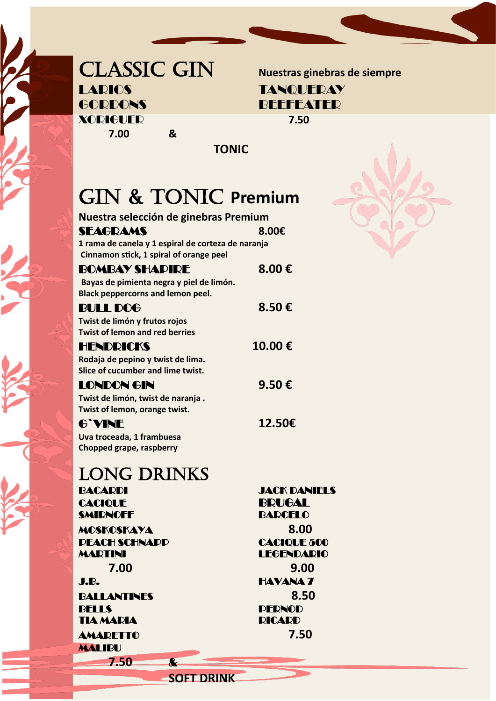### CLASSIC GIN **Nuestras ginebras de siempre** LARIOS TANQUERAY GORDONS BEEFEATER XORIGUER **7.50 7.00 &**

 **TONIC**

# GIN & TONIC **Premium**

| Nuestra selección de ginebras Premium                                  |                     |
|------------------------------------------------------------------------|---------------------|
| SEAGRAMS                                                               | 8.00€               |
| 1 rama de canela y 1 espiral de corteza de naranja                     |                     |
| Cinnamon stick, 1 spiral of orange peel                                |                     |
| <b>BOMBAY SHAPIRE</b>                                                  | 8.00€               |
| Bayas de pimienta negra y piel de limón.                               |                     |
| <b>Black peppercorns and lemon peel.</b>                               |                     |
| <b>BULL DOG</b>                                                        | 8.50€               |
| Twist de limón y frutos rojos<br><b>Twist of lemon and red berries</b> |                     |
| HENDRICKS                                                              | 10.00€              |
| Rodaja de pepino y twist de lima.                                      |                     |
| Slice of cucumber and lime twist.                                      |                     |
| LONDON GIN                                                             | 9.50€               |
| Twist de limón, twist de naranja.                                      |                     |
| Twist of lemon, orange twist.                                          |                     |
| <b>G'VINE</b>                                                          | 12.50€              |
| Uva troceada, 1 frambuesa                                              |                     |
| Chopped grape, raspberry                                               |                     |
| <b>LONG DRINKS</b>                                                     |                     |
| BACARDI                                                                | <b>JACK DANIELS</b> |
| <b>CACIQUE</b>                                                         | BRUGAL              |
| <b>SMIRNOFF</b>                                                        | <b>BARCELO</b>      |
| <b>MOSKOSKAYA</b>                                                      | 8.00                |
| <b>DEACH SCHNADD</b>                                                   | <b>CACIQUE 500</b>  |
| <b>MARTINI</b>                                                         | <b>LEGENDARIO</b>   |
| 7.00                                                                   | 9.00                |
| J.B.                                                                   | <b>HAVANA 7</b>     |
| BALLANTINES                                                            | 8.50                |
| <b>BELLS</b>                                                           | <b>DERNOD</b>       |
| <b>TIA MARIA</b>                                                       | <b>RICARD</b>       |
| <b>AMARETTO</b>                                                        | 7.50                |
| <b>MALIBU</b>                                                          |                     |
| 7.50<br>$\overline{\mathbf{r}}$                                        |                     |

**SOFT DRINK**